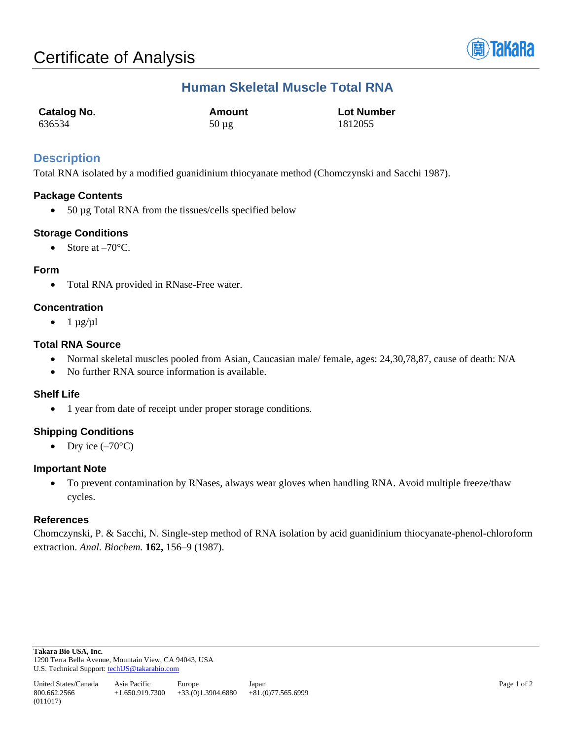

## **Human Skeletal Muscle Total RNA**

| Catalog No. | Amount     | <b>Lot Number</b> |
|-------------|------------|-------------------|
| 636534      | $50 \mu$ g | 1812055           |

### **Description**

Total RNA isolated by a modified guanidinium thiocyanate method (Chomczynski and Sacchi 1987).

#### **Package Contents**

• 50 µg Total RNA from the tissues/cells specified below

#### **Storage Conditions**

• Store at  $-70^{\circ}$ C.

#### **Form**

• Total RNA provided in RNase-Free water.

#### **Concentration**

 $\bullet$  1  $\mu$ g/ $\mu$ l

#### **Total RNA Source**

- Normal skeletal muscles pooled from Asian, Caucasian male/ female, ages: 24,30,78,87, cause of death: N/A
- No further RNA source information is available.

#### **Shelf Life**

• 1 year from date of receipt under proper storage conditions.

#### **Shipping Conditions**

• Dry ice  $(-70^{\circ}C)$ 

#### **Important Note**

• To prevent contamination by RNases, always wear gloves when handling RNA. Avoid multiple freeze/thaw cycles.

#### **References**

Chomczynski, P. & Sacchi, N. Single-step method of RNA isolation by acid guanidinium thiocyanate-phenol-chloroform extraction. *Anal. Biochem.* **162,** 156–9 (1987).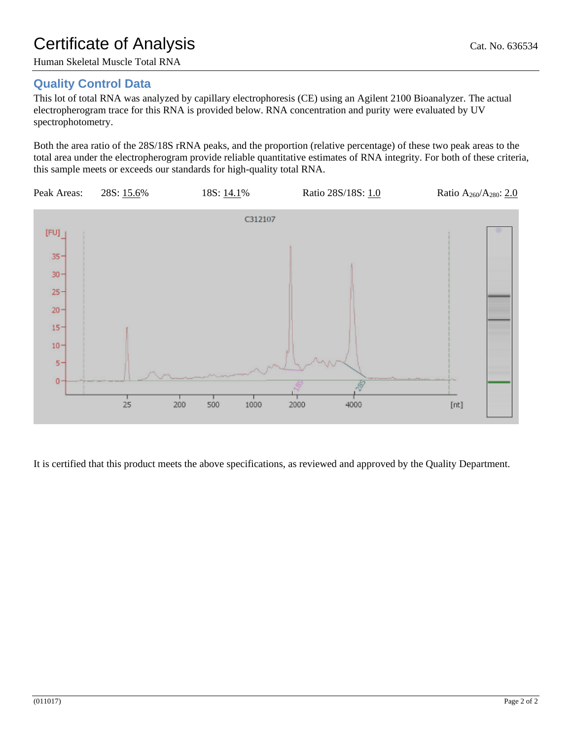# Certificate of Analysis Cat. No. 636534

Human Skeletal Muscle Total RNA

## **Quality Control Data**

This lot of total RNA was analyzed by capillary electrophoresis (CE) using an Agilent 2100 Bioanalyzer. The actual electropherogram trace for this RNA is provided below. RNA concentration and purity were evaluated by UV spectrophotometry.

Both the area ratio of the 28S/18S rRNA peaks, and the proportion (relative percentage) of these two peak areas to the total area under the electropherogram provide reliable quantitative estimates of RNA integrity. For both of these criteria, this sample meets or exceeds our standards for high-quality total RNA.



It is certified that this product meets the above specifications, as reviewed and approved by the Quality Department.